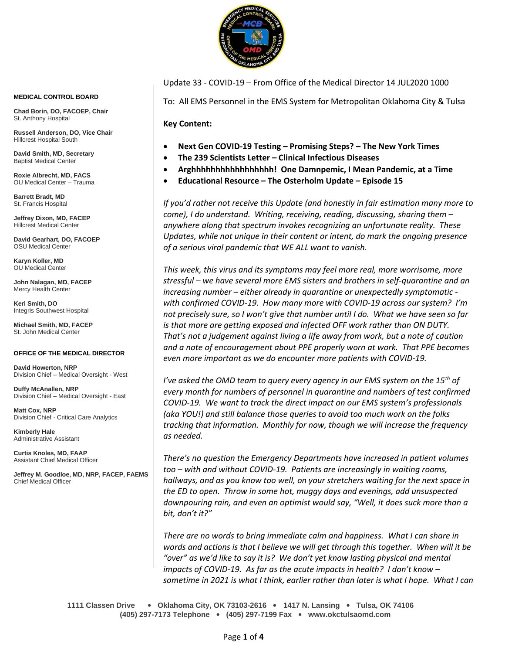

Update 33 - COVID-19 – From Office of the Medical Director 14 JUL2020 1000

To: All EMS Personnel in the EMS System for Metropolitan Oklahoma City & Tulsa

**Key Content:**

- **Next Gen COVID-19 Testing – Promising Steps? – The New York Times**
- **The 239 Scientists Letter – Clinical Infectious Diseases**
- **Arghhhhhhhhhhhhhhhhh! One Damnpemic, I Mean Pandemic, at a Time**
- **Educational Resource – The Osterholm Update – Episode 15**

*If you'd rather not receive this Update (and honestly in fair estimation many more to come), I do understand. Writing, receiving, reading, discussing, sharing them – anywhere along that spectrum invokes recognizing an unfortunate reality. These Updates, while not unique in their content or intent, do mark the ongoing presence of a serious viral pandemic that WE ALL want to vanish.*

*This week, this virus and its symptoms may feel more real, more worrisome, more stressful – we have several more EMS sisters and brothers in self-quarantine and an increasing number – either already in quarantine or unexpectedly symptomatic with confirmed COVID-19. How many more with COVID-19 across our system? I'm not precisely sure, so I won't give that number until I do. What we have seen so far is that more are getting exposed and infected OFF work rather than ON DUTY. That's not a judgement against living a life away from work, but a note of caution and a note of encouragement about PPE properly worn at work. That PPE becomes even more important as we do encounter more patients with COVID-19.*

*I've asked the OMD team to query every agency in our EMS system on the 15th of every month for numbers of personnel in quarantine and numbers of test confirmed COVID-19. We want to track the direct impact on our EMS system's professionals (aka YOU!) and still balance those queries to avoid too much work on the folks tracking that information. Monthly for now, though we will increase the frequency as needed.*

*There's no question the Emergency Departments have increased in patient volumes too – with and without COVID-19. Patients are increasingly in waiting rooms, hallways, and as you know too well, on your stretchers waiting for the next space in the ED to open. Throw in some hot, muggy days and evenings, add unsuspected downpouring rain, and even an optimist would say, "Well, it does suck more than a bit, don't it?"*

*There are no words to bring immediate calm and happiness. What I can share in words and actions is that I believe we will get through this together. When will it be "over" as we'd like to say it is? We don't yet know lasting physical and mental impacts of COVID-19. As far as the acute impacts in health? I don't know – sometime in 2021 is what I think, earlier rather than later is what I hope. What I can* 

**1111 Classen Drive** • **Oklahoma City, OK 73103-2616** • **1417 N. Lansing** • **Tulsa, OK 74106 (405) 297-7173 Telephone** • **(405) 297-7199 Fax** • **www.okctulsaomd.com**

#### **MEDICAL CONTROL BOARD**

**Chad Borin, DO, FACOEP, Chair**  St. Anthony Hospital

**Russell Anderson, DO, Vice Chair** Hillcrest Hospital South

**David Smith, MD, Secretary** Baptist Medical Center

**Roxie Albrecht, MD, FACS** OU Medical Center – Trauma

**Barrett Bradt, MD** St. Francis Hospital

**Jeffrey Dixon, MD, FACEP** Hillcrest Medical Center

**David Gearhart, DO, FACOEP** OSU Medical Center

**Karyn Koller, MD** OU Medical Center

**John Nalagan, MD, FACEP** Mercy Health Center

**Keri Smith, DO** Integris Southwest Hospital

**Michael Smith, MD, FACEP** St. John Medical Center

#### **OFFICE OF THE MEDICAL DIRECTOR**

**David Howerton, NRP** Division Chief – Medical Oversight - West

**Duffy McAnallen, NRP** Division Chief – Medical Oversight - East

**Matt Cox, NRP** Division Chief - Critical Care Analytics

**Kimberly Hale** Administrative Assistant

**Curtis Knoles, MD, FAAP** Assistant Chief Medical Officer

**Jeffrey M. Goodloe, MD, NRP, FACEP, FAEMS** Chief Medical Officer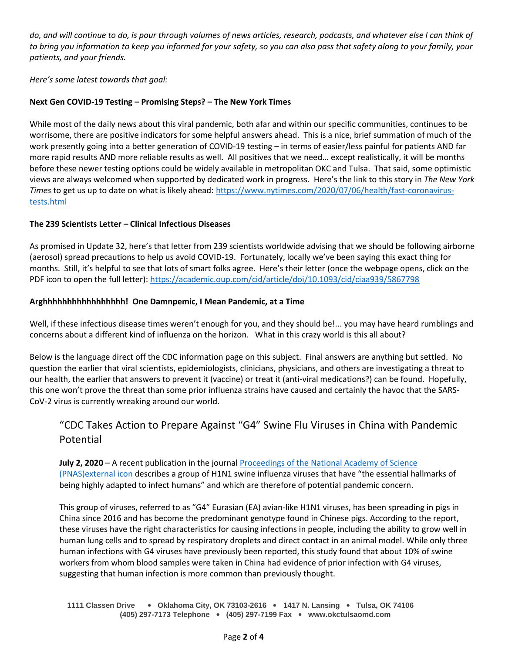*do, and will continue to do, is pour through volumes of news articles, research, podcasts, and whatever else I can think of to bring you information to keep you informed for your safety, so you can also pass that safety along to your family, your patients, and your friends.*

*Here's some latest towards that goal:*

## **Next Gen COVID-19 Testing – Promising Steps? – The New York Times**

While most of the daily news about this viral pandemic, both afar and within our specific communities, continues to be worrisome, there are positive indicators for some helpful answers ahead. This is a nice, brief summation of much of the work presently going into a better generation of COVID-19 testing – in terms of easier/less painful for patients AND far more rapid results AND more reliable results as well. All positives that we need… except realistically, it will be months before these newer testing options could be widely available in metropolitan OKC and Tulsa. That said, some optimistic views are always welcomed when supported by dedicated work in progress. Here's the link to this story in *The New York Times* to get us up to date on what is likely ahead[: https://www.nytimes.com/2020/07/06/health/fast-coronavirus](https://www.nytimes.com/2020/07/06/health/fast-coronavirus-tests.html)[tests.html](https://www.nytimes.com/2020/07/06/health/fast-coronavirus-tests.html)

### **The 239 Scientists Letter – Clinical Infectious Diseases**

As promised in Update 32, here's that letter from 239 scientists worldwide advising that we should be following airborne (aerosol) spread precautions to help us avoid COVID-19. Fortunately, locally we've been saying this exact thing for months. Still, it's helpful to see that lots of smart folks agree. Here's their letter (once the webpage opens, click on the PDF icon to open the full letter):<https://academic.oup.com/cid/article/doi/10.1093/cid/ciaa939/5867798>

### **Arghhhhhhhhhhhhhhhhh! One Damnpemic, I Mean Pandemic, at a Time**

Well, if these infectious disease times weren't enough for you, and they should be!... you may have heard rumblings and concerns about a different kind of influenza on the horizon. What in this crazy world is this all about?

Below is the language direct off the CDC information page on this subject. Final answers are anything but settled. No question the earlier that viral scientists, epidemiologists, clinicians, physicians, and others are investigating a threat to our health, the earlier that answers to prevent it (vaccine) or treat it (anti-viral medications?) can be found. Hopefully, this one won't prove the threat than some prior influenza strains have caused and certainly the havoc that the SARS-CoV-2 virus is currently wreaking around our world.

# "CDC Takes Action to Prepare Against "G4" Swine Flu Viruses in China with Pandemic Potential

**July 2, 2020** – A recent publication in the journal [Proceedings of the National Academy of Science](https://www.pnas.org/content/early/2020/06/23/1921186117)  [\(PNAS\)external icon](https://www.pnas.org/content/early/2020/06/23/1921186117) describes a group of H1N1 swine influenza viruses that have "the essential hallmarks of being highly adapted to infect humans" and which are therefore of potential pandemic concern.

This group of viruses, referred to as "G4" Eurasian (EA) avian-like H1N1 viruses, has been spreading in pigs in China since 2016 and has become the predominant genotype found in Chinese pigs. According to the report, these viruses have the right characteristics for causing infections in people, including the ability to grow well in human lung cells and to spread by respiratory droplets and direct contact in an animal model. While only three human infections with G4 viruses have previously been reported, this study found that about 10% of swine workers from whom blood samples were taken in China had evidence of prior infection with G4 viruses, suggesting that human infection is more common than previously thought.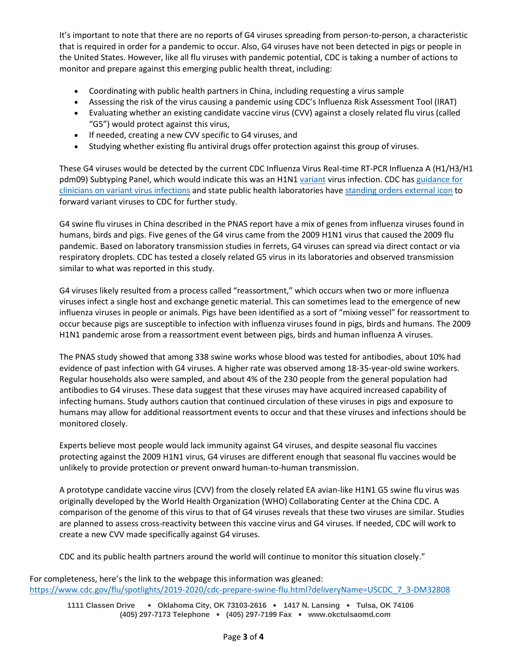It's important to note that there are no reports of G4 viruses spreading from person-to-person, a characteristic that is required in order for a pandemic to occur. Also, G4 viruses have not been detected in pigs or people in the United States. However, like all flu viruses with pandemic potential, CDC is taking a number of actions to monitor and prepare against this emerging public health threat, including:

- Coordinating with public health partners in China, including requesting a virus sample
- Assessing the risk of the virus causing a pandemic using CDC's Influenza Risk Assessment Tool (IRAT)
- Evaluating whether an existing candidate vaccine virus (CVV) against a closely related flu virus (called "G5") would protect against this virus,
- If needed, creating a new CVV specific to G4 viruses, and
- Studying whether existing flu antiviral drugs offer protection against this group of viruses.

These G4 viruses would be detected by the current CDC Influenza Virus Real-time RT-PCR Influenza A (H1/H3/H1 pdm09) Subtyping Panel, which would indicate this was an H1N1 [variant](https://www.cdc.gov/flu/swineflu/variant-flu-in-humans.htm) virus infection. CDC has guidance for [clinicians on variant virus infections](https://www.cdc.gov/flu/swineflu/interim-guidance-variant-flu.htm) and state public health laboratories have [standing orders external](https://www.aphl.org/programs/infectious_disease/influenza/Pages/Specimen_Submission.aspx) icon to forward variant viruses to CDC for further study.

G4 swine flu viruses in China described in the PNAS report have a mix of genes from influenza viruses found in humans, birds and pigs. Five genes of the G4 virus came from the 2009 H1N1 virus that caused the 2009 flu pandemic. Based on laboratory transmission studies in ferrets, G4 viruses can spread via direct contact or via respiratory droplets. CDC has tested a closely related G5 virus in its laboratories and observed transmission similar to what was reported in this study.

G4 viruses likely resulted from a process called "reassortment," which occurs when two or more influenza viruses infect a single host and exchange genetic material. This can sometimes lead to the emergence of new influenza viruses in people or animals. Pigs have been identified as a sort of "mixing vessel" for reassortment to occur because pigs are susceptible to infection with influenza viruses found in pigs, birds and humans. The 2009 H1N1 pandemic arose from a reassortment event between pigs, birds and human influenza A viruses.

The PNAS study showed that among 338 swine works whose blood was tested for antibodies, about 10% had evidence of past infection with G4 viruses. A higher rate was observed among 18-35-year-old swine workers. Regular households also were sampled, and about 4% of the 230 people from the general population had antibodies to G4 viruses. These data suggest that these viruses may have acquired increased capability of infecting humans. Study authors caution that continued circulation of these viruses in pigs and exposure to humans may allow for additional reassortment events to occur and that these viruses and infections should be monitored closely.

Experts believe most people would lack immunity against G4 viruses, and despite seasonal flu vaccines protecting against the 2009 H1N1 virus, G4 viruses are different enough that seasonal flu vaccines would be unlikely to provide protection or prevent onward human-to-human transmission.

A prototype candidate vaccine virus (CVV) from the closely related EA avian-like H1N1 G5 swine flu virus was originally developed by the World Health Organization (WHO) Collaborating Center at the China CDC. A comparison of the genome of this virus to that of G4 viruses reveals that these two viruses are similar. Studies are planned to assess cross-reactivity between this vaccine virus and G4 viruses. If needed, CDC will work to create a new CVV made specifically against G4 viruses.

CDC and its public health partners around the world will continue to monitor this situation closely."

For completeness, here's the link to the webpage this information was gleaned: [https://www.cdc.gov/flu/spotlights/2019-2020/cdc-prepare-swine-flu.html?deliveryName=USCDC\\_7\\_3-DM32808](https://www.cdc.gov/flu/spotlights/2019-2020/cdc-prepare-swine-flu.html?deliveryName=USCDC_7_3-DM32808)

**1111 Classen Drive** • **Oklahoma City, OK 73103-2616** • **1417 N. Lansing** • **Tulsa, OK 74106 (405) 297-7173 Telephone** • **(405) 297-7199 Fax** • **www.okctulsaomd.com**